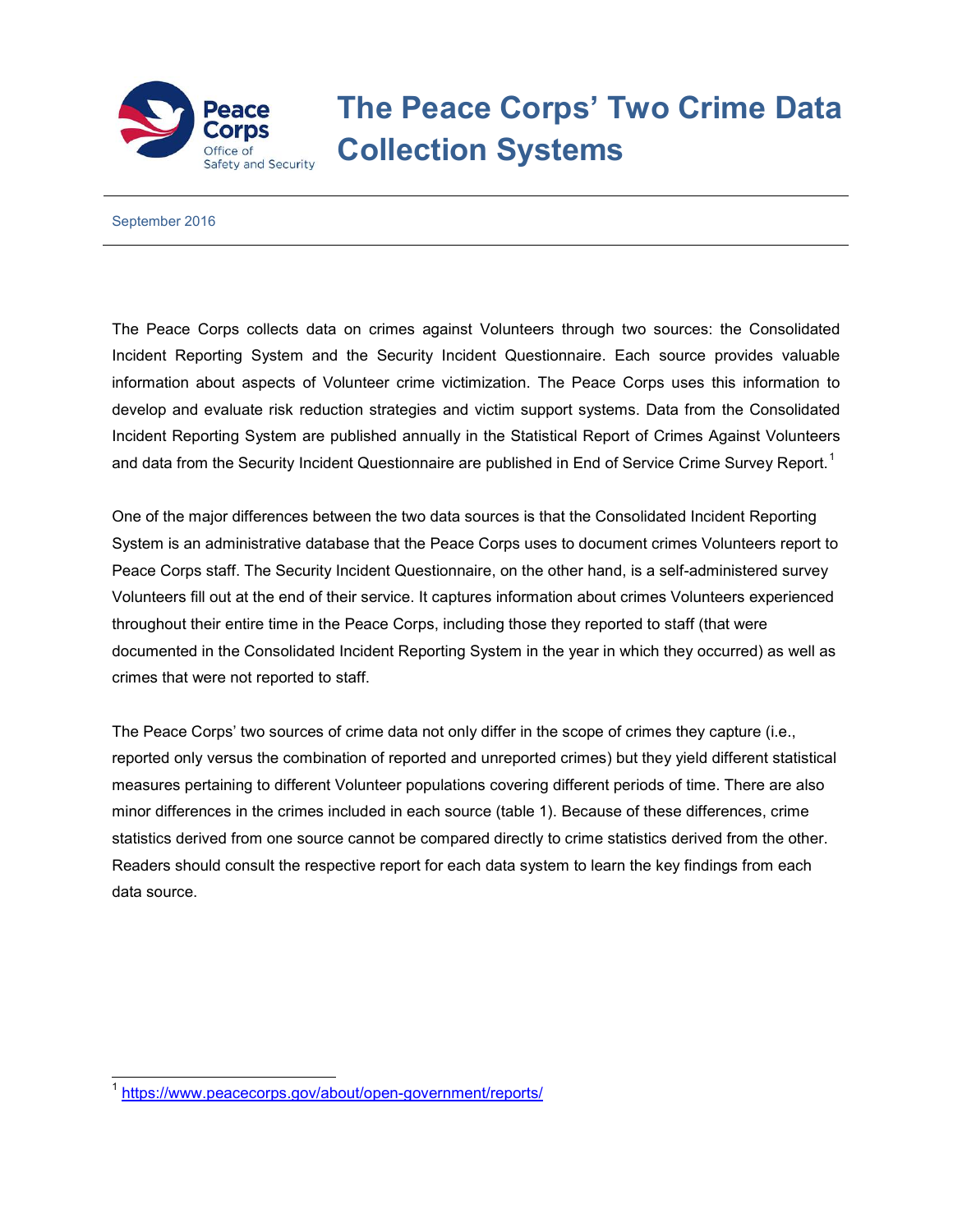

## **The Peace Corps' Two Crime Data Collection Systems**

September 2016

The Peace Corps collects data on crimes against Volunteers through two sources: the Consolidated Incident Reporting System and the Security Incident Questionnaire. Each source provides valuable information about aspects of Volunteer crime victimization. The Peace Corps uses this information to develop and evaluate risk reduction strategies and victim support systems. Data from the Consolidated Incident Reporting System are published annually in the Statistical Report of Crimes Against Volunteers and data from the Security Incident Questionnaire are published in End of Service Crime Survey Report.<sup>[1](#page-0-0)</sup>

One of the major differences between the two data sources is that the Consolidated Incident Reporting System is an administrative database that the Peace Corps uses to document crimes Volunteers report to Peace Corps staff. The Security Incident Questionnaire, on the other hand, is a self-administered survey Volunteers fill out at the end of their service. It captures information about crimes Volunteers experienced throughout their entire time in the Peace Corps, including those they reported to staff (that were documented in the Consolidated Incident Reporting System in the year in which they occurred) as well as crimes that were not reported to staff.

The Peace Corps' two sources of crime data not only differ in the scope of crimes they capture (i.e., reported only versus the combination of reported and unreported crimes) but they yield different statistical measures pertaining to different Volunteer populations covering different periods of time. There are also minor differences in the crimes included in each source (table 1). Because of these differences, crime statistics derived from one source cannot be compared directly to crime statistics derived from the other. Readers should consult the respective report for each data system to learn the key findings from each data source.

<span id="page-0-0"></span> <sup>1</sup> <https://www.peacecorps.gov/about/open-government/reports/>